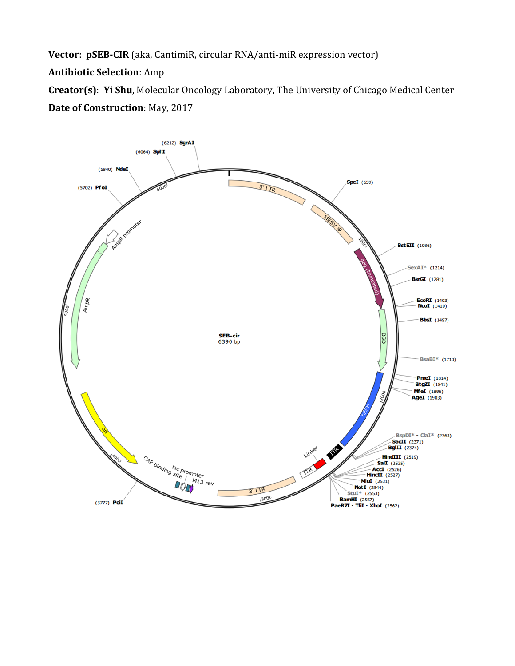**Vector**: **pSEB-CIR** (aka, CantimiR, circular RNA/anti-miR expression vector)

**Antibiotic Selection**: Amp

**Creator(s)**: **Yi Shu**, Molecular Oncology Laboratory, The University of Chicago Medical Center **Date of Construction**: May, 2017

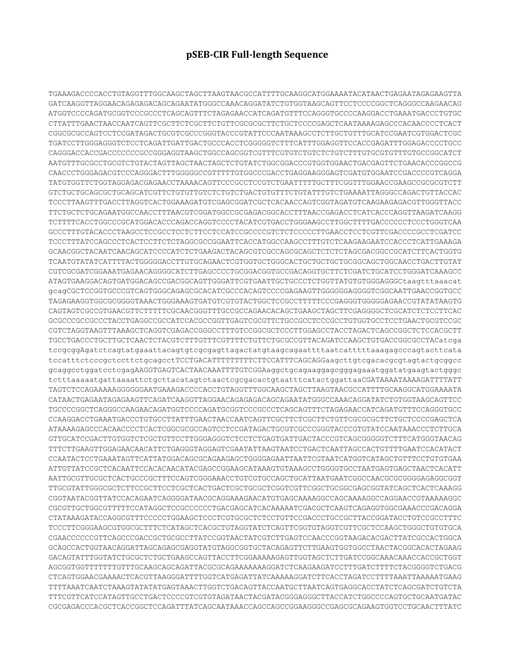## **pSEB-CIR Full-length Sequence**

TGAAAGACCCCACCTGTAGGTTTGGCAAGCTAGCTTAAGTAACGCCATTTTGCAAGGCATGGAAAATACATAACTGAGAATAGAGAAGTTA GATCAAGGTTAGGAACAGAGAGACAGCAGAATATGGGCCAAACAGGATATCTGTGGTAAGCAGTTCCTCCCCGGCTCAGGGCCAAGAACAG ATGGTCCCCAGATGCGGTCCCGCCCTCAGCAGTTTCTAGAGAACCATCAGATGTTTCCAGGGTGCCCCAAGGACCTGAAATGACCCTGTGC CTTATTTGAACTAACCAATCAGTTCGCTTCTCGCTTCTGTTCGCGCGCTTCTGCTCCCCGAGCTCAATAAAAGAGCCCACAACCCCTCACT CGGCGCGCCAGTCCTCCGATAGACTGCGTCGCCCGGGTACCCGTATTCCCAATAAAGCCTCTTGCTGTTTGCATCCGAATCGTGGACTCGC TGATCCTTGGGAGGGTCTCCTCAGATTGATTGACTGCCCACCTCGGGGGTCTTTCATTTGGAGGTTCCACCGAGATTTGGAGACCCCTGCC CAGGGACCACCGACCCCCCCGCCGGGAGGTAAGCTGGCCAGCGGTCGTTTCGTGTCTGTCTCTGTCTTTGTGCGTGTTTGTGCCGGCATCT AATGTTTGCGCCTGCGTCTGTACTAGTTAGCTAACTAGCTCTGTATCTGGCGGACCCGTGGTGGAACTGACGAGTTCTGAACACCCGGCCG CAACCCTGGGAGACGTCCCAGGGACTTTGGGGGCCGTTTTTGTGGCCCGACCTGAGGAAGGGAGTCGATGTGGAATCCGACCCCGTCAGGA TATGTGGTTCTGGTAGGAGACGAGAACCTAAAACAGTTCCCGCCTCCGTCTGAATTTTTGCTTTCGGTTTGGAACCGAAGCCGCGCGTCTT GTCTGCTGCAGCGCTGCAGCATCGTTCTGTGTTGTCTCTGTCTGACTGTGTTTCTGTATTTGTCTGAAAATTAGGGCCAGACTGTTACCAC TCCCTTAAGTTTGACCTTAGGTCACTGGAAAGATGTCGAGCGGATCGCTCACAACCAGTCGGTAGATGTCAAGAAGAGACGTTGGGTTACC TTCTGCTCTGCAGAATGGCCAACCTTTAACGTCGGATGGCCGCGAGACGGCACCTTTAACCGAGACCTCATCACCCAGGTTAAGATCAAGG TCTTTTCACCTGGCCCGCATGGACACCCAGACCAGGTCCCCTACATCGTGACCTGGGAAGCCTTGGCTTTTGACCCCCCTCCCTGGGTCAA GCCCTTTGTACACCCTAAGCCTCCGCCTCCTCTTCCTCCATCCGCCCCGTCTCTCCCCCTTGAACCTCCTCGTTCGACCCCGCCTCGATCC TCCCTTTATCCAGCCCTCACTCCTTCTCTAGGCGCCGGAATTCACCATGGCCAAGCCTTTGTCTCAAGAAGAATCCACCCTCATTGAAAGA GCAACGGCTACAATCAACAGCATCCCCATCTCTGAAGACTACAGCGTCGCCAGCGCAGCTCTCTCTAGCGACGGCCGCATCTTCACTGGTG TCAATGTATATCATTTTACTGGGGGACCTTGTGCAGAACTCGTGGTGCTGGGCACTGCTGCTGCTGCGGCAGCTGGCAACCTGACTTGTAT CGTCGCGATCGGAAATGAGAACAGGGGCATCTTGAGCCCCTGCGGACGGTGCCGACAGGTGCTTCTCGATCTGCATCCTGGGATCAAAGCC ATAGTGAAGGACAGTGATGGACAGCCGACGGCAGTTGGGATTCGTGAATTGCTGCCCTCTGGTTATGTGTGGGAGGGCtaagtttaaacat gcagCGCTCCGGTGCCCGTCAGTGGGCAGAGCGCACATCGCCCACAGTCCCCGAGAAGTTGGGGGGAGGGGTCGGCAATTGAACCGGTGCC TAGAGAAGGTGGCGCGGGGTAAACTGGGAAAGTGATGTCGTGTACTGGCTCCGCCTTTTTCCCGAGGGTGGGGGAGAACCGTATATAAGTG CAGTAGTCGCCGTGAACGTTCTTTTTCGCAACGGGTTTGCCGCCAGAACACAGCTGAAGCTAGCTTCGAGGGGCTCGCATCTCTCCTTCAC GCGCCCGCCGCCCTACCTGAGGCCGCCATCCACGCCGGTTGAGTCGCGTTCTGCCGCCTCCCGCCTGTGGTGCCTCCTGAACTGCGTCCGC CGTCTAGGTAAGTTTAAAGCTCAGGTCGAGACCGGGCCTTTGTCCGGCGCTCCCTTGGAGCCTACCTAGACTCAGCCGGCTCTCCACGCTT TGCCTGACCCTGCTTGCTCAACTCTACGTCTTTGTTTCGTTTTCTGTTCTGCGCCGTTACAGATCCAAGCTGTGACCGGCGCCTACatcga tccgcggAgatctcagtatgaaattacagtgtcgcgagttagactatgtaagcagaattttaatcatttttaaagagcccagtacttcata tccatttctcccgctccttctgcagcctTCCTGACATTTTTTTTTCTTCCATTTCAGCAGGaagcttgtcgacacgcgtagtactgcggcc gcaggcctggatcctcgagAAGGTGAGTCACTAACAAATTTTGTCGGAaggctgcagaaggagcgggagaaatggatatgaagtactgggc tctttaaaaatgattaaaattctgcttacatagtctaactcgcgacactgtaatttcatactggattaaCGATAAAATAAAAGATTTTATT TAGTCTCCAGAAAAAGGGGGGAATGAAAGACCCCACCTGTAGGTTTGGCAAGCTAGCTTAAGTAACGCCATTTTGCAAGGCATGGAAAATA CATAACTGAGAATAGAGAAGTTCAGATCAAGGTTAGGAACAGAGAGACAGCAGAATATGGGCCAAACAGGATATCTGTGGTAAGCAGTTCC TGCCCCGGCTCAGGGCCAAGAACAGATGGTCCCCAGATGCGGTCCCGCCCTCAGCAGTTTCTAGAGAACCATCAGATGTTTCCAGGGTGCC CCAAGGACCTGAAATGACCCTGTGCCTTATTTGAACTAACCAATCAGTTCGCTTCTCGCTTCTGTTCGCGCGCTTCTGCTCCCCGAGCTCA ATAAAAGAGCCCACAACCCCTCACTCGGCGCGCCAGTCCTCCGATAGACTGCGTCGCCCGGGTACCCGTGTATCCAATAAACCCTCTTGCA GTTGCATCCGACTTGTGGTCTCGCTGTTCCTTGGGAGGGTCTCCTCTGAGTGATTGACTACCCGTCAGCGGGGGTCTTTCATGGGTAACAG TTTCTTGAAGTTGGAGAACAACATTCTGAGGGTAGGAGTCGAATATTAAGTAATCCTGACTCAATTAGCCACTGTTTTGAATCCACATACT CCAATACTCCTGAAATAGTTCATTATGGACAGCGCAGAAGAGCTGGGGAGAATTAATTCGTAATCATGGTCATAGCTGTTTCCTGTGTGAA ATTGTTATCCGCTCACAATTCCACACAACATACGAGCCGGAAGCATAAAGTGTAAAGCCTGGGGTGCCTAATGAGTGAGCTAACTCACATT AATTGCGTTGCGCTCACTGCCCGCTTTCCAGTCGGGAAACCTGTCGTGCCAGCTGCATTAATGAATCGGCCAACGCGCGGGGAGAGGCGGT TTGCGTATTGGGCGCTCTTCCGCTTCCTCGCTCACTGACTCGCTGCGCTCGGTCGTTCGGCTGCGGCGAGCGGTATCAGCTCACTCAAAGG CGGTAATACGGTTATCCACAGAATCAGGGGATAACGCAGGAAAGAACATGTGAGCAAAAGGCCAGCAAAAGGCCAGGAACCGTAAAAAGGC CGCGTTGCTGGCGTTTTTCCATAGGCTCCGCCCCCCTGACGAGCATCACAAAAATCGACGCTCAAGTCAGAGGTGGCGAAACCCGACAGGA CTATAAAGATACCAGGCGTTTCCCCCTGGAAGCTCCCTCGTGCGCTCTCCTGTTCCGACCCTGCCGCTTACCGGATACCTGTCCGCCTTTC TCCCTTCGGGAAGCGTGGCGCTTTCTCATAGCTCACGCTGTAGGTATCTCAGTTCGGTGTAGGTCGTTCGCTCCAAGCTGGGCTGTGTGCA CGAACCCCCCGTTCAGCCCGACCGCTGCGCCTTATCCGGTAACTATCGTCTTGAGTCCAACCCGGTAAGACACGACTTATCGCCACTGGCA GCAGCCACTGGTAACAGGATTAGCAGAGCGAGGTATGTAGGCGGTGCTACAGAGTTCTTGAAGTGGTGGCCTAACTACGGCACACTAGAAG GACAGTATTTGGTATCTGCGCTCTGCTGAAGCCAGTTACCTTCGGAAAAAGAGTTGGTAGCTCTTGATCCGGCAAACAAACCACCGCTGGT AGCGGTGGTTTTTTTGTTTGCAAGCAGCAGATTACGCGCAGAAAAAAAGGATCTCAAGAAGATCCTTTGATCTTTTCTACGGGGTCTGACG CTCAGTGGAACGAAAACTCACGTTAAGGGATTTTGGTCATGAGATTATCAAAAAGGATCTTCACCTAGATCCTTTTAAATTAAAAATGAAG TTTTAAATCAATCTAAAGTATATATGAGTAAACTTGGTCTGACAGTTACCAATGCTTAATCAGTGAGGCACCTATCTCAGCGATCTGTCTA TTTCGTTCATCCATAGTTGCCTGACTCCCCGTCGTGTAGATAACTACGATACGGGAGGGCTTACCATCTGGCCCCAGTGCTGCAATGATAC CGCGAGACCCACGCTCACCGGCTCCAGATTTATCAGCAATAAACCAGCCAGCCGGAAGGGCCGAGCGCAGAAGTGGTCCTGCAACTTTATC